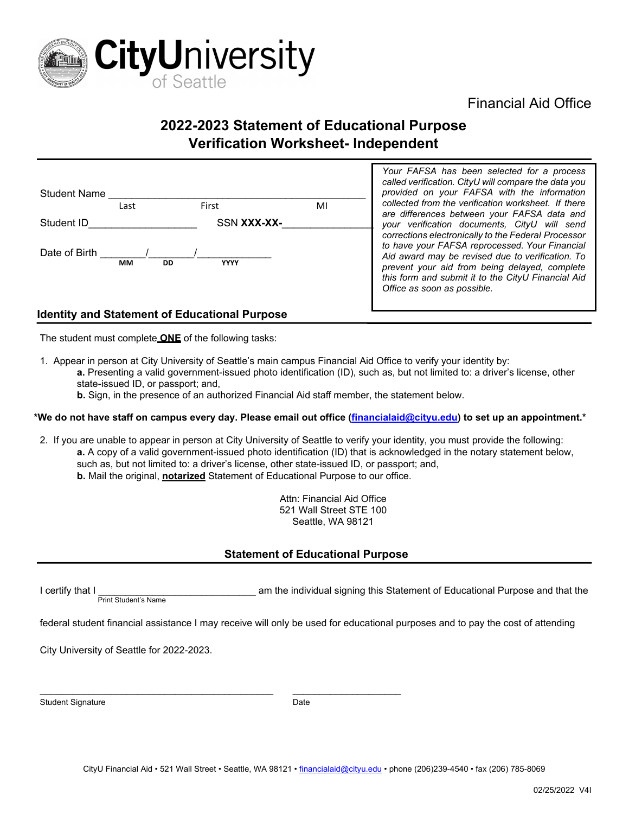

## Financial Aid Office

# **2022-2023 Statement of Educational Purpose Verification Worksheet- Independent**

| <b>Student Name</b> | Last      |    | First       | MI |
|---------------------|-----------|----|-------------|----|
| Student ID          |           |    | SSN XXX-XX- |    |
| Date of Birth       | <b>MM</b> | DD | <b>YYYY</b> |    |

*Your FAFSA has been selected for a process called verification. CityU will compare the data you provided on your FAFSA with the information collected from the verification worksheet. If there are differences between your FAFSA data and your verification documents, CityU will send corrections electronically to the Federal Processor to have your FAFSA reprocessed. Your Financial Aid award may be revised due to verification. To prevent your aid from being delayed, complete this form and submit it to the CityU Financial Aid Office as soon as possible.* 

### **Identity and Statement of Educational Purpose**

The student must complete **ONE** of the following tasks:

1. Appear in person at City University of Seattle's main campus Financial Aid Office to verify your identity by:

**a.** Presenting a valid government-issued photo identification (ID), such as, but not limited to: a driver's license, other state-issued ID, or passport; and,

**b.** Sign, in the presence of an authorized Financial Aid staff member, the statement below.

#### **\*We do not have staff on campus every day. Please email out office [\(financialaid@cityu.edu\)](mailto:financialaid@cityu.edu) to set up an appointment.\***

- 2. If you are unable to appear in person at City University of Seattle to verify your identity, you must provide the following:
	- **a.** A copy of a valid government-issued photo identification (ID) that is acknowledged in the notary statement below, such as, but not limited to: a driver's license, other state-issued ID, or passport; and, **b.** Mail the original, **notarized** Statement of Educational Purpose to our office.

Attn: Financial Aid Office 521 Wall Street STE 100 Seattle, WA 98121

#### **Statement of Educational Purpose**

I certify that I  $\frac{P_{\text{rint}}}{P_{\text{rint}}$  Student's Name  $\frac{P_{\text{init}}}{P_{\text{init}} + P_{\text{init}} + P_{\text{init}} + P_{\text{init}} + P_{\text{init}} + P_{\text{init}} + P_{\text{init}} + P_{\text{init}} + P_{\text{init}} + P_{\text{init}} + P_{\text{init}} + P_{\text{init}} + P_{\text{init}} + P_{\text{init}} + P_{\text{init}} + P_{\text{init}} + P_{\text{init}} + P_{\text{init}} + P_{\text{init}} + P_{\text$ 

federal student financial assistance I may receive will only be used for educational purposes and to pay the cost of attending

City University of Seattle for 2022-2023.

Student Signature Date Controller and Date Date Date

\_\_\_\_\_\_\_\_\_\_\_\_\_\_\_\_\_\_\_\_\_\_\_\_\_\_\_\_\_\_\_\_\_\_\_\_\_\_\_\_\_\_\_ \_\_\_\_\_\_\_\_\_\_\_\_\_\_\_\_\_\_\_\_